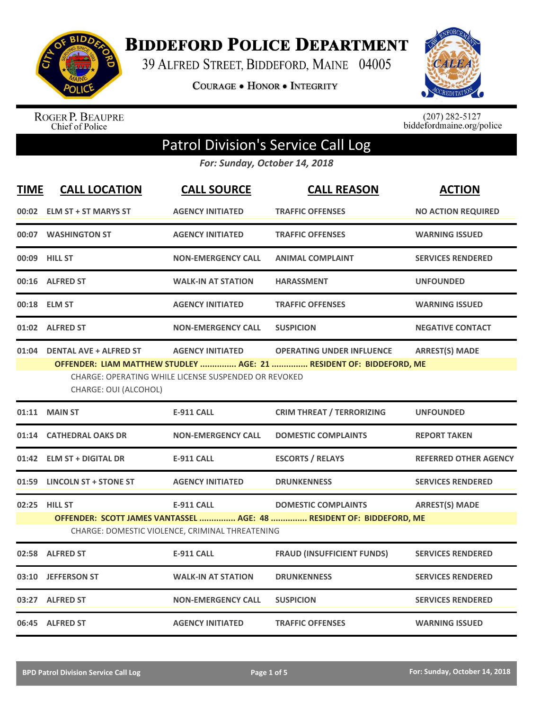

**BIDDEFORD POLICE DEPARTMENT** 

39 ALFRED STREET, BIDDEFORD, MAINE 04005

COURAGE . HONOR . INTEGRITY



ROGER P. BEAUPRE<br>Chief of Police

 $(207)$  282-5127<br>biddefordmaine.org/police

## Patrol Division's Service Call Log

*For: Sunday, October 14, 2018*

| <b>TIME</b> | <b>CALL LOCATION</b>                                                                                                                                                                                                                                                         | <b>CALL SOURCE</b>                                                   | <b>CALL REASON</b>                                                                                 | <b>ACTION</b>                |
|-------------|------------------------------------------------------------------------------------------------------------------------------------------------------------------------------------------------------------------------------------------------------------------------------|----------------------------------------------------------------------|----------------------------------------------------------------------------------------------------|------------------------------|
|             | 00:02 ELM ST + ST MARYS ST                                                                                                                                                                                                                                                   | <b>AGENCY INITIATED</b>                                              | <b>TRAFFIC OFFENSES</b>                                                                            | <b>NO ACTION REQUIRED</b>    |
|             | 00:07 WASHINGTON ST                                                                                                                                                                                                                                                          | <b>AGENCY INITIATED</b>                                              | <b>TRAFFIC OFFENSES</b>                                                                            | <b>WARNING ISSUED</b>        |
|             | 00:09 HILL ST                                                                                                                                                                                                                                                                | <b>NON-EMERGENCY CALL</b>                                            | <b>ANIMAL COMPLAINT</b>                                                                            | <b>SERVICES RENDERED</b>     |
|             | 00:16 ALFRED ST                                                                                                                                                                                                                                                              | <b>WALK-IN AT STATION</b>                                            | <b>HARASSMENT</b>                                                                                  | <b>UNFOUNDED</b>             |
|             | 00:18 ELM ST                                                                                                                                                                                                                                                                 | <b>AGENCY INITIATED</b>                                              | <b>TRAFFIC OFFENSES</b>                                                                            | <b>WARNING ISSUED</b>        |
|             | 01:02 ALFRED ST                                                                                                                                                                                                                                                              | <b>NON-EMERGENCY CALL</b>                                            | <b>SUSPICION</b>                                                                                   | <b>NEGATIVE CONTACT</b>      |
|             | 01:04 DENTAL AVE + ALFRED ST<br><b>AGENCY INITIATED</b><br><b>OPERATING UNDER INFLUENCE</b><br><b>ARREST(S) MADE</b><br>OFFENDER: LIAM MATTHEW STUDLEY  AGE: 21  RESIDENT OF: BIDDEFORD, ME<br>CHARGE: OPERATING WHILE LICENSE SUSPENDED OR REVOKED<br>CHARGE: OUI (ALCOHOL) |                                                                      |                                                                                                    |                              |
| 01:11       | <b>MAIN ST</b>                                                                                                                                                                                                                                                               | <b>E-911 CALL</b>                                                    | <b>CRIM THREAT / TERRORIZING</b>                                                                   | <b>UNFOUNDED</b>             |
|             | 01:14 CATHEDRAL OAKS DR                                                                                                                                                                                                                                                      | <b>NON-EMERGENCY CALL</b>                                            | <b>DOMESTIC COMPLAINTS</b>                                                                         | <b>REPORT TAKEN</b>          |
|             | 01:42 ELM ST + DIGITAL DR                                                                                                                                                                                                                                                    | <b>E-911 CALL</b>                                                    | <b>ESCORTS / RELAYS</b>                                                                            | <b>REFERRED OTHER AGENCY</b> |
|             | 01:59 LINCOLN ST + STONE ST                                                                                                                                                                                                                                                  | <b>AGENCY INITIATED</b>                                              | <b>DRUNKENNESS</b>                                                                                 | <b>SERVICES RENDERED</b>     |
|             | 02:25 HILL ST                                                                                                                                                                                                                                                                | <b>E-911 CALL</b><br>CHARGE: DOMESTIC VIOLENCE, CRIMINAL THREATENING | <b>DOMESTIC COMPLAINTS</b><br>OFFENDER: SCOTT JAMES VANTASSEL  AGE: 48  RESIDENT OF: BIDDEFORD, ME | <b>ARREST(S) MADE</b>        |
|             | 02:58 ALFRED ST                                                                                                                                                                                                                                                              | <b>E-911 CALL</b>                                                    | <b>FRAUD (INSUFFICIENT FUNDS)</b>                                                                  | <b>SERVICES RENDERED</b>     |
|             | 03:10 JEFFERSON ST                                                                                                                                                                                                                                                           | <b>WALK-IN AT STATION</b>                                            | <b>DRUNKENNESS</b>                                                                                 | <b>SERVICES RENDERED</b>     |
|             | 03:27 ALFRED ST                                                                                                                                                                                                                                                              | <b>NON-EMERGENCY CALL</b>                                            | <b>SUSPICION</b>                                                                                   | <b>SERVICES RENDERED</b>     |
|             | 06:45 ALFRED ST                                                                                                                                                                                                                                                              | <b>AGENCY INITIATED</b>                                              | <b>TRAFFIC OFFENSES</b>                                                                            | <b>WARNING ISSUED</b>        |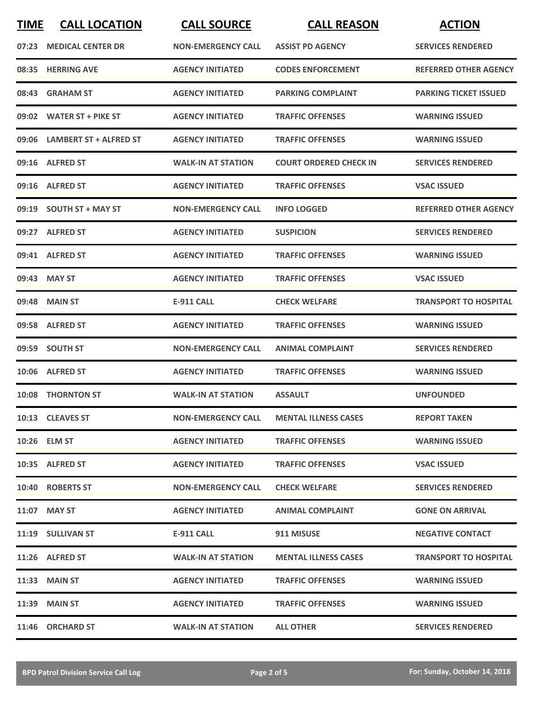| <b>TIME</b> | <b>CALL LOCATION</b>         | <b>CALL SOURCE</b>        | <b>CALL REASON</b>            | <b>ACTION</b>                |
|-------------|------------------------------|---------------------------|-------------------------------|------------------------------|
| 07:23       | <b>MEDICAL CENTER DR</b>     | <b>NON-EMERGENCY CALL</b> | <b>ASSIST PD AGENCY</b>       | <b>SERVICES RENDERED</b>     |
| 08:35       | <b>HERRING AVE</b>           | <b>AGENCY INITIATED</b>   | <b>CODES ENFORCEMENT</b>      | <b>REFERRED OTHER AGENCY</b> |
| 08:43       | <b>GRAHAM ST</b>             | <b>AGENCY INITIATED</b>   | <b>PARKING COMPLAINT</b>      | <b>PARKING TICKET ISSUED</b> |
|             | 09:02 WATER ST + PIKE ST     | <b>AGENCY INITIATED</b>   | <b>TRAFFIC OFFENSES</b>       | <b>WARNING ISSUED</b>        |
|             | 09:06 LAMBERT ST + ALFRED ST | <b>AGENCY INITIATED</b>   | <b>TRAFFIC OFFENSES</b>       | <b>WARNING ISSUED</b>        |
|             | 09:16 ALFRED ST              | <b>WALK-IN AT STATION</b> | <b>COURT ORDERED CHECK IN</b> | <b>SERVICES RENDERED</b>     |
| 09:16       | <b>ALFRED ST</b>             | <b>AGENCY INITIATED</b>   | <b>TRAFFIC OFFENSES</b>       | <b>VSAC ISSUED</b>           |
| 09:19       | <b>SOUTH ST + MAY ST</b>     | <b>NON-EMERGENCY CALL</b> | <b>INFO LOGGED</b>            | <b>REFERRED OTHER AGENCY</b> |
|             | 09:27 ALFRED ST              | <b>AGENCY INITIATED</b>   | <b>SUSPICION</b>              | <b>SERVICES RENDERED</b>     |
|             | 09:41 ALFRED ST              | <b>AGENCY INITIATED</b>   | <b>TRAFFIC OFFENSES</b>       | <b>WARNING ISSUED</b>        |
| 09:43       | <b>MAY ST</b>                | <b>AGENCY INITIATED</b>   | <b>TRAFFIC OFFENSES</b>       | <b>VSAC ISSUED</b>           |
| 09:48       | <b>MAIN ST</b>               | <b>E-911 CALL</b>         | <b>CHECK WELFARE</b>          | <b>TRANSPORT TO HOSPITAL</b> |
|             | 09:58 ALFRED ST              | <b>AGENCY INITIATED</b>   | <b>TRAFFIC OFFENSES</b>       | <b>WARNING ISSUED</b>        |
|             | 09:59 SOUTH ST               | <b>NON-EMERGENCY CALL</b> | <b>ANIMAL COMPLAINT</b>       | <b>SERVICES RENDERED</b>     |
|             | 10:06 ALFRED ST              | <b>AGENCY INITIATED</b>   | <b>TRAFFIC OFFENSES</b>       | <b>WARNING ISSUED</b>        |
| 10:08       | <b>THORNTON ST</b>           | <b>WALK-IN AT STATION</b> | <b>ASSAULT</b>                | <b>UNFOUNDED</b>             |
|             | 10:13 CLEAVES ST             | <b>NON-EMERGENCY CALL</b> | <b>MENTAL ILLNESS CASES</b>   | <b>REPORT TAKEN</b>          |
|             | 10:26 ELM ST                 | <b>AGENCY INITIATED</b>   | <b>TRAFFIC OFFENSES</b>       | <b>WARNING ISSUED</b>        |
|             | 10:35 ALFRED ST              | <b>AGENCY INITIATED</b>   | <b>TRAFFIC OFFENSES</b>       | <b>VSAC ISSUED</b>           |
|             | 10:40 ROBERTS ST             | <b>NON-EMERGENCY CALL</b> | <b>CHECK WELFARE</b>          | <b>SERVICES RENDERED</b>     |
|             | 11:07 MAY ST                 | <b>AGENCY INITIATED</b>   | <b>ANIMAL COMPLAINT</b>       | <b>GONE ON ARRIVAL</b>       |
|             | 11:19 SULLIVAN ST            | E-911 CALL                | 911 MISUSE                    | <b>NEGATIVE CONTACT</b>      |
|             | 11:26 ALFRED ST              | <b>WALK-IN AT STATION</b> | <b>MENTAL ILLNESS CASES</b>   | <b>TRANSPORT TO HOSPITAL</b> |
|             | <b>11:33 MAIN ST</b>         | <b>AGENCY INITIATED</b>   | <b>TRAFFIC OFFENSES</b>       | <b>WARNING ISSUED</b>        |
|             | 11:39 MAIN ST                | <b>AGENCY INITIATED</b>   | <b>TRAFFIC OFFENSES</b>       | <b>WARNING ISSUED</b>        |
|             | 11:46 ORCHARD ST             | <b>WALK-IN AT STATION</b> | <b>ALL OTHER</b>              | <b>SERVICES RENDERED</b>     |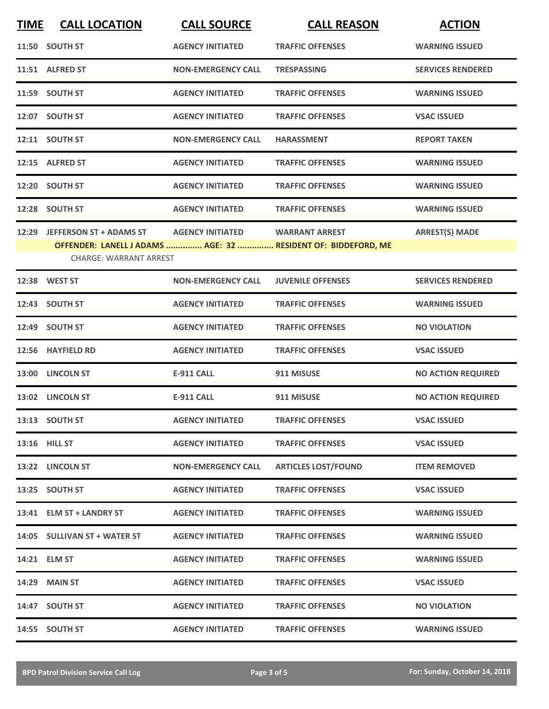| <b>TIME</b> | <b>CALL LOCATION</b>                                            | <b>CALL SOURCE</b>        | <b>CALL REASON</b>                                                                     | <b>ACTION</b>             |
|-------------|-----------------------------------------------------------------|---------------------------|----------------------------------------------------------------------------------------|---------------------------|
|             | 11:50 SOUTH ST                                                  | <b>AGENCY INITIATED</b>   | <b>TRAFFIC OFFENSES</b>                                                                | <b>WARNING ISSUED</b>     |
|             | 11:51 ALFRED ST                                                 | <b>NON-EMERGENCY CALL</b> | <b>TRESPASSING</b>                                                                     | <b>SERVICES RENDERED</b>  |
|             | 11:59 SOUTH ST                                                  | <b>AGENCY INITIATED</b>   | <b>TRAFFIC OFFENSES</b>                                                                | <b>WARNING ISSUED</b>     |
|             | 12:07 SOUTH ST                                                  | <b>AGENCY INITIATED</b>   | <b>TRAFFIC OFFENSES</b>                                                                | <b>VSAC ISSUED</b>        |
|             | 12:11 SOUTH ST                                                  | <b>NON-EMERGENCY CALL</b> | <b>HARASSMENT</b>                                                                      | <b>REPORT TAKEN</b>       |
|             | 12:15 ALFRED ST                                                 | <b>AGENCY INITIATED</b>   | <b>TRAFFIC OFFENSES</b>                                                                | <b>WARNING ISSUED</b>     |
|             | 12:20 SOUTH ST                                                  | <b>AGENCY INITIATED</b>   | <b>TRAFFIC OFFENSES</b>                                                                | <b>WARNING ISSUED</b>     |
|             | 12:28 SOUTH ST                                                  | <b>AGENCY INITIATED</b>   | <b>TRAFFIC OFFENSES</b>                                                                | <b>WARNING ISSUED</b>     |
| 12:29       | <b>JEFFERSON ST + ADAMS ST</b><br><b>CHARGE: WARRANT ARREST</b> | <b>AGENCY INITIATED</b>   | <b>WARRANT ARREST</b><br>OFFENDER: LANELL J ADAMS  AGE: 32  RESIDENT OF: BIDDEFORD, ME | <b>ARREST(S) MADE</b>     |
|             | 12:38 WEST ST                                                   | <b>NON-EMERGENCY CALL</b> | <b>JUVENILE OFFENSES</b>                                                               | <b>SERVICES RENDERED</b>  |
|             | 12:43 SOUTH ST                                                  | <b>AGENCY INITIATED</b>   | <b>TRAFFIC OFFENSES</b>                                                                | <b>WARNING ISSUED</b>     |
|             | 12:49 SOUTH ST                                                  | <b>AGENCY INITIATED</b>   | <b>TRAFFIC OFFENSES</b>                                                                | <b>NO VIOLATION</b>       |
|             | 12:56 HAYFIELD RD                                               | <b>AGENCY INITIATED</b>   | <b>TRAFFIC OFFENSES</b>                                                                | <b>VSAC ISSUED</b>        |
|             | 13:00 LINCOLN ST                                                | <b>E-911 CALL</b>         | 911 MISUSE                                                                             | <b>NO ACTION REQUIRED</b> |
|             | 13:02 LINCOLN ST                                                | <b>E-911 CALL</b>         | 911 MISUSE                                                                             | <b>NO ACTION REQUIRED</b> |
|             | 13:13 SOUTH ST                                                  | <b>AGENCY INITIATED</b>   | <b>TRAFFIC OFFENSES</b>                                                                | <b>VSAC ISSUED</b>        |
|             | 13:16 HILL ST                                                   | <b>AGENCY INITIATED</b>   | <b>TRAFFIC OFFENSES</b>                                                                | <b>VSAC ISSUED</b>        |
|             | 13:22 LINCOLN ST                                                | <b>NON-EMERGENCY CALL</b> | <b>ARTICLES LOST/FOUND</b>                                                             | <b>ITEM REMOVED</b>       |
|             | 13:25 SOUTH ST                                                  | <b>AGENCY INITIATED</b>   | <b>TRAFFIC OFFENSES</b>                                                                | <b>VSAC ISSUED</b>        |
|             | 13:41 ELM ST + LANDRY ST                                        | <b>AGENCY INITIATED</b>   | <b>TRAFFIC OFFENSES</b>                                                                | <b>WARNING ISSUED</b>     |
|             | 14:05 SULLIVAN ST + WATER ST                                    | <b>AGENCY INITIATED</b>   | <b>TRAFFIC OFFENSES</b>                                                                | <b>WARNING ISSUED</b>     |
|             | 14:21 ELM ST                                                    | <b>AGENCY INITIATED</b>   | <b>TRAFFIC OFFENSES</b>                                                                | <b>WARNING ISSUED</b>     |
|             | <b>14:29 MAIN ST</b>                                            | <b>AGENCY INITIATED</b>   | <b>TRAFFIC OFFENSES</b>                                                                | <b>VSAC ISSUED</b>        |
|             | 14:47 SOUTH ST                                                  | <b>AGENCY INITIATED</b>   | <b>TRAFFIC OFFENSES</b>                                                                | <b>NO VIOLATION</b>       |
|             | 14:55 SOUTH ST                                                  | <b>AGENCY INITIATED</b>   | <b>TRAFFIC OFFENSES</b>                                                                | <b>WARNING ISSUED</b>     |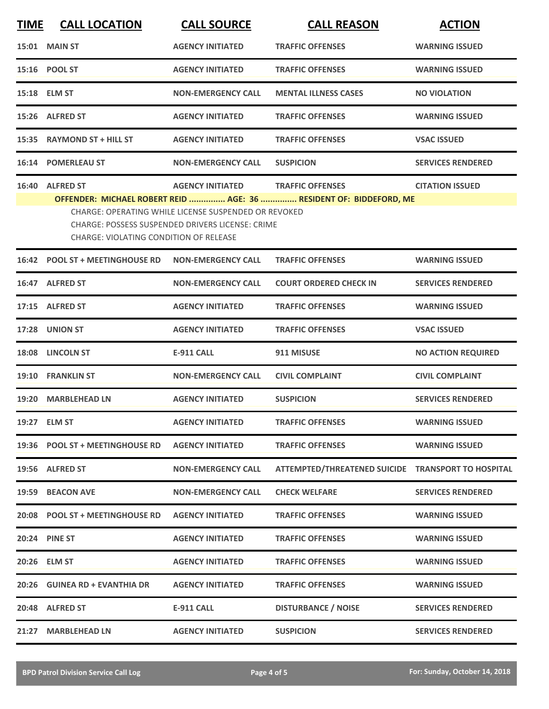| <b>TIME</b> | <b>CALL LOCATION</b>                                                                                                                                                                                                            | <b>CALL SOURCE</b>        | <b>CALL REASON</b>                                 | <b>ACTION</b>             |  |
|-------------|---------------------------------------------------------------------------------------------------------------------------------------------------------------------------------------------------------------------------------|---------------------------|----------------------------------------------------|---------------------------|--|
|             | <b>15:01 MAIN ST</b>                                                                                                                                                                                                            | <b>AGENCY INITIATED</b>   | <b>TRAFFIC OFFENSES</b>                            | <b>WARNING ISSUED</b>     |  |
|             | 15:16 POOL ST                                                                                                                                                                                                                   | <b>AGENCY INITIATED</b>   | <b>TRAFFIC OFFENSES</b>                            | <b>WARNING ISSUED</b>     |  |
|             | 15:18 ELM ST                                                                                                                                                                                                                    | <b>NON-EMERGENCY CALL</b> | <b>MENTAL ILLNESS CASES</b>                        | <b>NO VIOLATION</b>       |  |
|             | 15:26 ALFRED ST                                                                                                                                                                                                                 | <b>AGENCY INITIATED</b>   | <b>TRAFFIC OFFENSES</b>                            | <b>WARNING ISSUED</b>     |  |
|             | 15:35 RAYMOND ST + HILL ST                                                                                                                                                                                                      | <b>AGENCY INITIATED</b>   | <b>TRAFFIC OFFENSES</b>                            | <b>VSAC ISSUED</b>        |  |
|             | 16:14 POMERLEAU ST                                                                                                                                                                                                              | <b>NON-EMERGENCY CALL</b> | <b>SUSPICION</b>                                   | <b>SERVICES RENDERED</b>  |  |
|             | 16:40 ALFRED ST                                                                                                                                                                                                                 | <b>AGENCY INITIATED</b>   | <b>TRAFFIC OFFENSES</b>                            | <b>CITATION ISSUED</b>    |  |
|             | OFFENDER: MICHAEL ROBERT REID  AGE: 36  RESIDENT OF: BIDDEFORD, ME<br>CHARGE: OPERATING WHILE LICENSE SUSPENDED OR REVOKED<br>CHARGE: POSSESS SUSPENDED DRIVERS LICENSE: CRIME<br><b>CHARGE: VIOLATING CONDITION OF RELEASE</b> |                           |                                                    |                           |  |
|             | 16:42 POOL ST + MEETINGHOUSE RD                                                                                                                                                                                                 | <b>NON-EMERGENCY CALL</b> | <b>TRAFFIC OFFENSES</b>                            | <b>WARNING ISSUED</b>     |  |
|             | 16:47 ALFRED ST                                                                                                                                                                                                                 | <b>NON-EMERGENCY CALL</b> | <b>COURT ORDERED CHECK IN</b>                      | <b>SERVICES RENDERED</b>  |  |
| 17:15       | <b>ALFRED ST</b>                                                                                                                                                                                                                | <b>AGENCY INITIATED</b>   | <b>TRAFFIC OFFENSES</b>                            | <b>WARNING ISSUED</b>     |  |
| 17:28       | <b>UNION ST</b>                                                                                                                                                                                                                 | <b>AGENCY INITIATED</b>   | <b>TRAFFIC OFFENSES</b>                            | <b>VSAC ISSUED</b>        |  |
|             | 18:08 LINCOLN ST                                                                                                                                                                                                                | <b>E-911 CALL</b>         | 911 MISUSE                                         | <b>NO ACTION REQUIRED</b> |  |
|             | 19:10 FRANKLIN ST                                                                                                                                                                                                               | <b>NON-EMERGENCY CALL</b> | <b>CIVIL COMPLAINT</b>                             | <b>CIVIL COMPLAINT</b>    |  |
| 19:20       | <b>MARBLEHEAD LN</b>                                                                                                                                                                                                            | <b>AGENCY INITIATED</b>   | <b>SUSPICION</b>                                   | <b>SERVICES RENDERED</b>  |  |
|             | 19:27 ELM ST                                                                                                                                                                                                                    | <b>AGENCY INITIATED</b>   | <b>TRAFFIC OFFENSES</b>                            | <b>WARNING ISSUED</b>     |  |
|             | 19:36 POOL ST + MEETINGHOUSE RD                                                                                                                                                                                                 | <b>AGENCY INITIATED</b>   | <b>TRAFFIC OFFENSES</b>                            | <b>WARNING ISSUED</b>     |  |
|             | 19:56 ALFRED ST                                                                                                                                                                                                                 | <b>NON-EMERGENCY CALL</b> | ATTEMPTED/THREATENED SUICIDE TRANSPORT TO HOSPITAL |                           |  |
| 19:59       | <b>BEACON AVE</b>                                                                                                                                                                                                               | <b>NON-EMERGENCY CALL</b> | <b>CHECK WELFARE</b>                               | <b>SERVICES RENDERED</b>  |  |
|             | 20:08 POOL ST + MEETINGHOUSE RD                                                                                                                                                                                                 | <b>AGENCY INITIATED</b>   | <b>TRAFFIC OFFENSES</b>                            | <b>WARNING ISSUED</b>     |  |
|             | 20:24 PINE ST                                                                                                                                                                                                                   | <b>AGENCY INITIATED</b>   | <b>TRAFFIC OFFENSES</b>                            | <b>WARNING ISSUED</b>     |  |
|             | 20:26 ELM ST                                                                                                                                                                                                                    | <b>AGENCY INITIATED</b>   | <b>TRAFFIC OFFENSES</b>                            | <b>WARNING ISSUED</b>     |  |
|             | 20:26 GUINEA RD + EVANTHIA DR                                                                                                                                                                                                   | <b>AGENCY INITIATED</b>   | <b>TRAFFIC OFFENSES</b>                            | <b>WARNING ISSUED</b>     |  |
|             | 20:48 ALFRED ST                                                                                                                                                                                                                 | <b>E-911 CALL</b>         | <b>DISTURBANCE / NOISE</b>                         | <b>SERVICES RENDERED</b>  |  |
| 21:27       | <b>MARBLEHEAD LN</b>                                                                                                                                                                                                            | <b>AGENCY INITIATED</b>   | <b>SUSPICION</b>                                   | <b>SERVICES RENDERED</b>  |  |